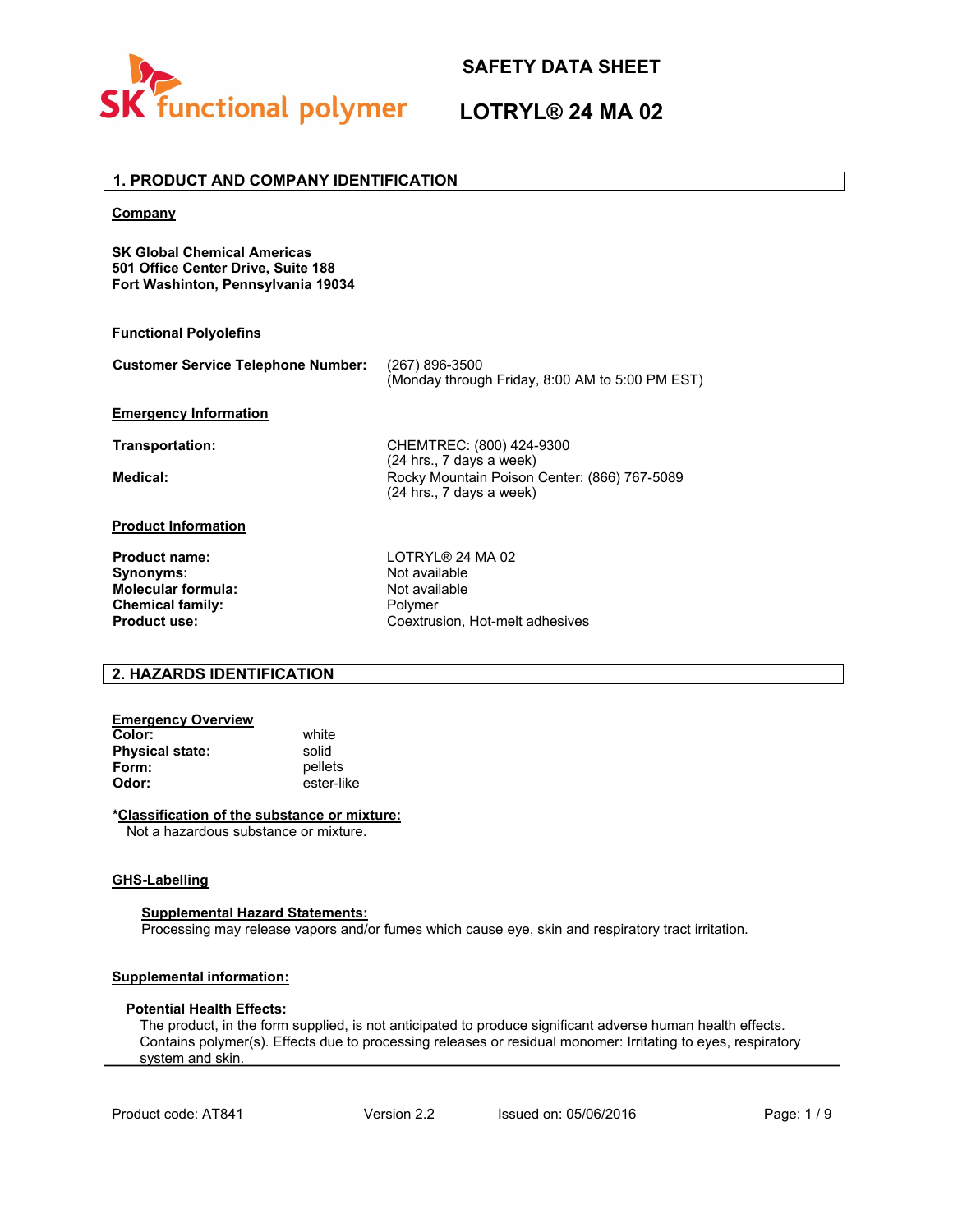

# **LOTRYL® 24 MA 02**

# **1. PRODUCT AND COMPANY IDENTIFICATION**

#### **Company**

**SK Global Chemical Americas 501 Office Center Drive, Suite 188 Fort Washinton, Pennsylvania 19034**

#### **Functional Polyolefins**

| <b>Customer Service Telephone Number:</b> | (267) 896-3500                                  |  |
|-------------------------------------------|-------------------------------------------------|--|
|                                           | (Monday through Friday, 8:00 AM to 5:00 PM EST) |  |

#### **Emergency Information**

**Transportation:** CHEMTREC: (800) 424-9300 (24 hrs., 7 days a week) Medical: Medical: Rocky Mountain Poison Center: (866) 767-5089 (24 hrs., 7 days a week)

#### **Product Information**

**Synonyms:** Not available<br> **Molecular formula:** Not available **Molecular formula:** Not avail<br> **Chemical family:** Not avail<br> **Chemical family:** Not available to the Polymer **Chemical family:**<br>Product use:

**Product name:** LOTRYL® 24 MA 02<br> **Synonyms:** Not available **Product use:** Coextrusion, Hot-melt adhesives

## **2. HAZARDS IDENTIFICATION**

# **Emergency Overview**

**Color:** white<br> **Physical state:** solid **Physical state:**<br>Form: **Form:** pellets<br> **Odor:** ester-li **Odor:** ester-like

#### **\*Classification of the substance or mixture:**

Not a hazardous substance or mixture.

#### **GHS-Labelling**

#### **Supplemental Hazard Statements:**

Processing may release vapors and/or fumes which cause eye, skin and respiratory tract irritation.

#### **Supplemental information:**

#### **Potential Health Effects:**

The product, in the form supplied, is not anticipated to produce significant adverse human health effects. Contains polymer(s). Effects due to processing releases or residual monomer: Irritating to eyes, respiratory system and skin.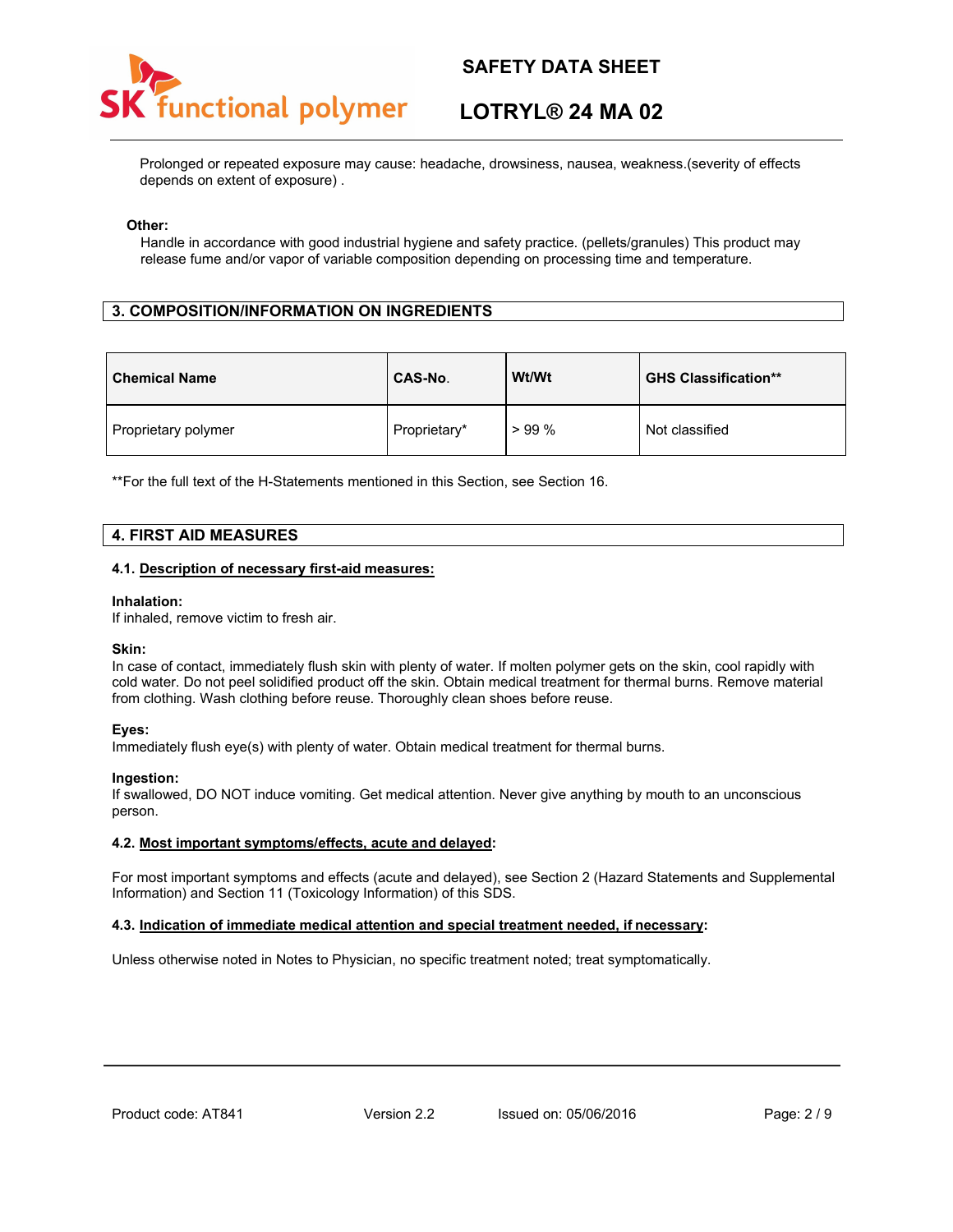# unctional polymer

# **SAFETY DATA SHEET**

# **LOTRYL® 24 MA 02**

Prolonged or repeated exposure may cause: headache, drowsiness, nausea, weakness.(severity of effects depends on extent of exposure) .

#### **Other:**

Handle in accordance with good industrial hygiene and safety practice. (pellets/granules) This product may release fume and/or vapor of variable composition depending on processing time and temperature.

## **3. COMPOSITION/INFORMATION ON INGREDIENTS**

| <b>Chemical Name</b> | CAS-No.      | Wt/Wt | <b>GHS Classification**</b> |
|----------------------|--------------|-------|-----------------------------|
| Proprietary polymer  | Proprietary* | >99%  | Not classified              |

\*\*For the full text of the H-Statements mentioned in this Section, see Section 16.

## **4. FIRST AID MEASURES**

#### **4.1. Description of necessary first-aid measures:**

#### **Inhalation:**

If inhaled, remove victim to fresh air.

#### **Skin:**

In case of contact, immediately flush skin with plenty of water. If molten polymer gets on the skin, cool rapidly with cold water. Do not peel solidified product off the skin. Obtain medical treatment for thermal burns. Remove material from clothing. Wash clothing before reuse. Thoroughly clean shoes before reuse.

#### **Eyes:**

Immediately flush eye(s) with plenty of water. Obtain medical treatment for thermal burns.

#### **Ingestion:**

If swallowed, DO NOT induce vomiting. Get medical attention. Never give anything by mouth to an unconscious person.

#### **4.2. Most important symptoms/effects, acute and delayed:**

For most important symptoms and effects (acute and delayed), see Section 2 (Hazard Statements and Supplemental Information) and Section 11 (Toxicology Information) of this SDS.

#### **4.3. Indication of immediate medical attention and special treatment needed, if necessary:**

Unless otherwise noted in Notes to Physician, no specific treatment noted; treat symptomatically.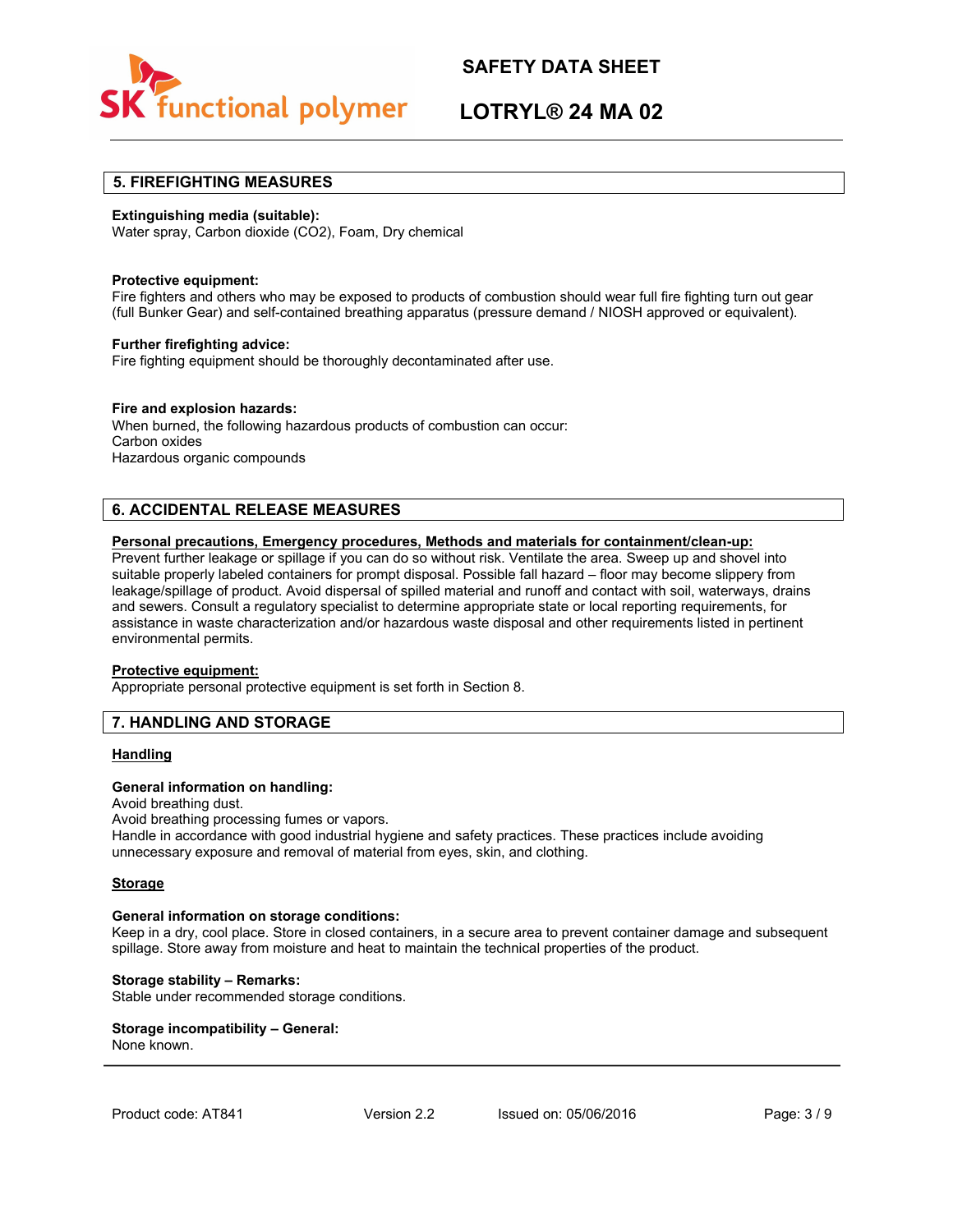

# **LOTRYL® 24 MA 02**

## **5. FIREFIGHTING MEASURES**

#### **Extinguishing media (suitable):**

Water spray, Carbon dioxide (CO2), Foam, Dry chemical

#### **Protective equipment:**

Fire fighters and others who may be exposed to products of combustion should wear full fire fighting turn out gear (full Bunker Gear) and self-contained breathing apparatus (pressure demand / NIOSH approved or equivalent).

#### **Further firefighting advice:**

Fire fighting equipment should be thoroughly decontaminated after use.

#### **Fire and explosion hazards:**

When burned, the following hazardous products of combustion can occur: Carbon oxides Hazardous organic compounds

## **6. ACCIDENTAL RELEASE MEASURES**

#### **Personal precautions, Emergency procedures, Methods and materials for containment/clean-up:**

Prevent further leakage or spillage if you can do so without risk. Ventilate the area. Sweep up and shovel into suitable properly labeled containers for prompt disposal. Possible fall hazard – floor may become slippery from leakage/spillage of product. Avoid dispersal of spilled material and runoff and contact with soil, waterways, drains and sewers. Consult a regulatory specialist to determine appropriate state or local reporting requirements, for assistance in waste characterization and/or hazardous waste disposal and other requirements listed in pertinent environmental permits.

#### **Protective equipment:**

Appropriate personal protective equipment is set forth in Section 8.

## **7. HANDLING AND STORAGE**

#### **Handling**

#### **General information on handling:**

Avoid breathing dust. Avoid breathing processing fumes or vapors. Handle in accordance with good industrial hygiene and safety practices. These practices include avoiding unnecessary exposure and removal of material from eyes, skin, and clothing.

#### **Storage**

#### **General information on storage conditions:**

Keep in a dry, cool place. Store in closed containers, in a secure area to prevent container damage and subsequent spillage. Store away from moisture and heat to maintain the technical properties of the product.

#### **Storage stability – Remarks:**

Stable under recommended storage conditions.

# **Storage incompatibility – General:**

None known.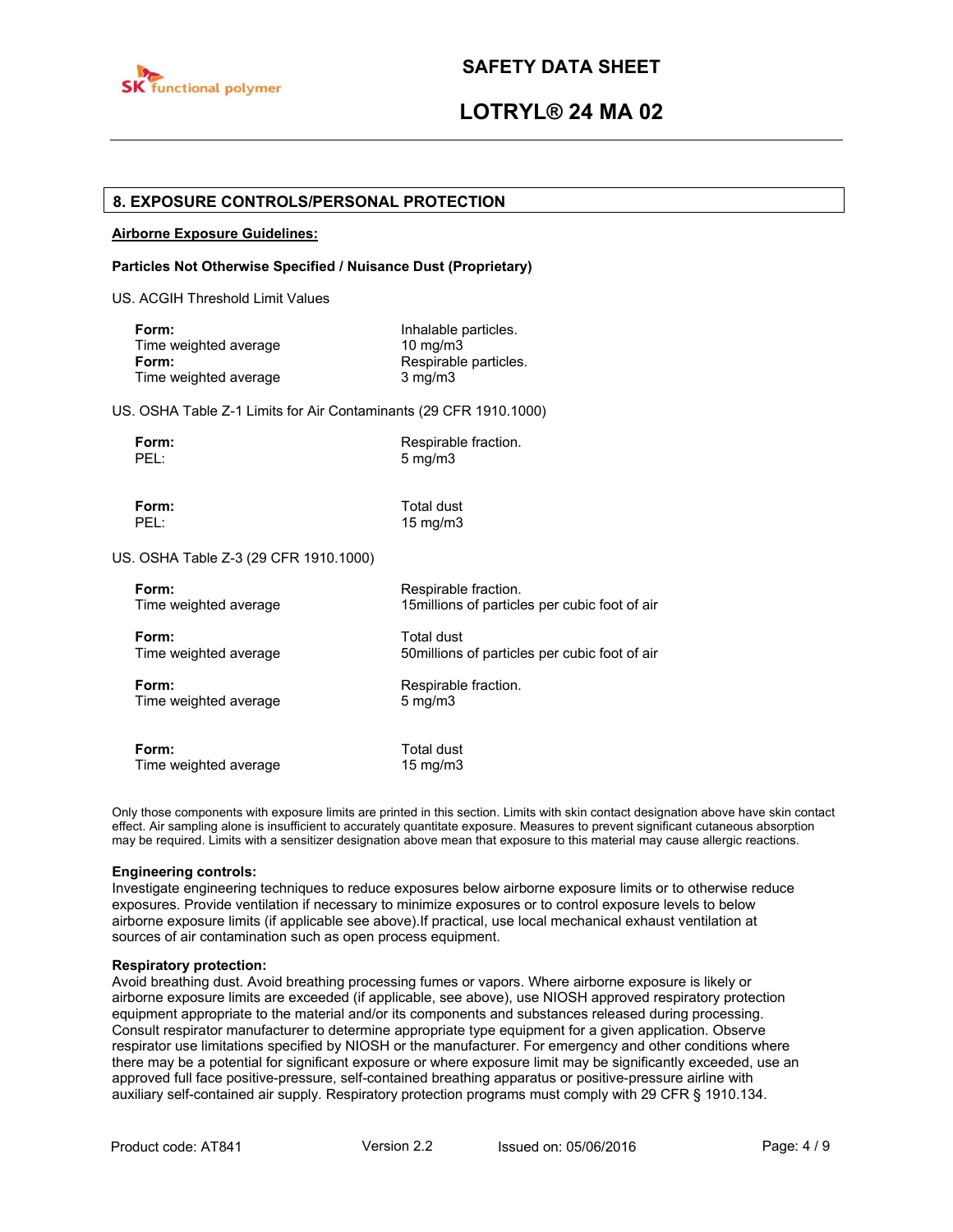

# **LOTRYL® 24 MA 02**

## **8. EXPOSURE CONTROLS/PERSONAL PROTECTION**

#### **Airborne Exposure Guidelines:**

#### **Particles Not Otherwise Specified / Nuisance Dust (Proprietary)**

US. ACGIH Threshold Limit Values

| Form:                 | Inhalable particles.  |
|-----------------------|-----------------------|
| Time weighted average | 10 mg/m $3$           |
| Form:                 | Respirable particles. |
| Time weighted average | $3 \text{ mg/m}$      |

US. OSHA Table Z-1 Limits for Air Contaminants (29 CFR 1910.1000)

| п<br>г<br>L.<br>۰. |  |
|--------------------|--|
|                    |  |

**Form:** Respirable fraction.  $5$  mg/m $3$ 

**Form:** Total dust<br> **PEL:** 15 ma/m3 15 mg/m3

US. OSHA Table Z-3 (29 CFR 1910.1000)

| Form:                 | Respirable fraction.                           |
|-----------------------|------------------------------------------------|
| Time weighted average | 15 millions of particles per cubic foot of air |
| Form:                 | Total dust                                     |
| Time weighted average | 50 millions of particles per cubic foot of air |
| Form:                 | Respirable fraction.                           |
| Time weighted average | $5 \text{ mg/m}$                               |
| Form:                 | Total dust                                     |
| Time weighted average | $15 \text{ mg/m}$                              |

Only those components with exposure limits are printed in this section. Limits with skin contact designation above have skin contact effect. Air sampling alone is insufficient to accurately quantitate exposure. Measures to prevent significant cutaneous absorption may be required. Limits with a sensitizer designation above mean that exposure to this material may cause allergic reactions.

#### **Engineering controls:**

Investigate engineering techniques to reduce exposures below airborne exposure limits or to otherwise reduce exposures. Provide ventilation if necessary to minimize exposures or to control exposure levels to below airborne exposure limits (if applicable see above).If practical, use local mechanical exhaust ventilation at sources of air contamination such as open process equipment.

#### **Respiratory protection:**

Avoid breathing dust. Avoid breathing processing fumes or vapors. Where airborne exposure is likely or airborne exposure limits are exceeded (if applicable, see above), use NIOSH approved respiratory protection equipment appropriate to the material and/or its components and substances released during processing. Consult respirator manufacturer to determine appropriate type equipment for a given application. Observe respirator use limitations specified by NIOSH or the manufacturer. For emergency and other conditions where there may be a potential for significant exposure or where exposure limit may be significantly exceeded, use an approved full face positive-pressure, self-contained breathing apparatus or positive-pressure airline with auxiliary self-contained air supply. Respiratory protection programs must comply with 29 CFR § 1910.134.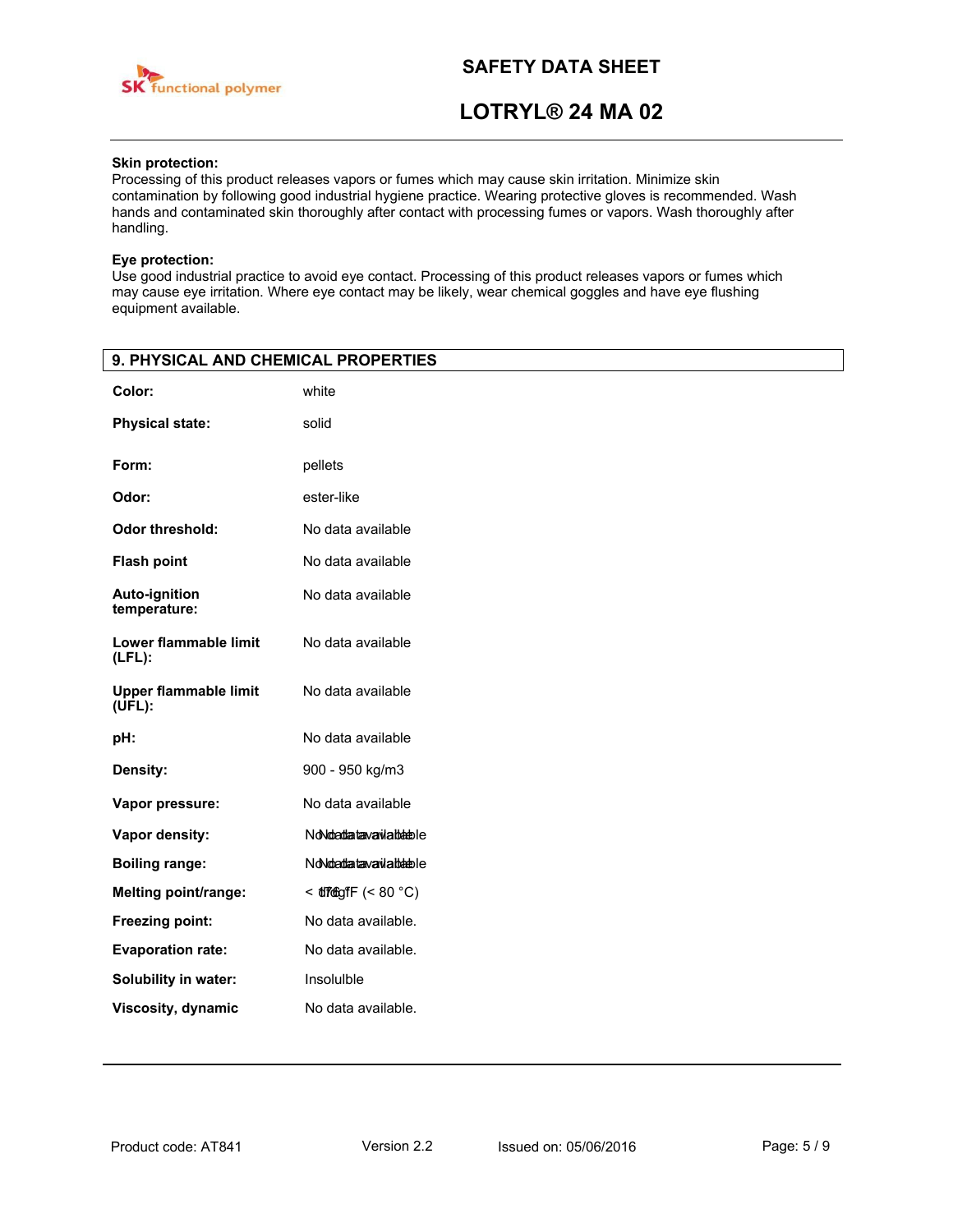

# **LOTRYL® 24 MA 02**

## **Skin protection:**

Processing of this product releases vapors or fumes which may cause skin irritation. Minimize skin contamination by following good industrial hygiene practice. Wearing protective gloves is recommended. Wash hands and contaminated skin thoroughly after contact with processing fumes or vapors. Wash thoroughly after handling.

#### **Eye protection:**

Use good industrial practice to avoid eye contact. Processing of this product releases vapors or fumes which may cause eye irritation. Where eye contact may be likely, wear chemical goggles and have eye flushing equipment available.

| 9. PHYSICAL AND CHEMICAL PROPERTIES       |                            |
|-------------------------------------------|----------------------------|
| Color:                                    | white                      |
| <b>Physical state:</b>                    | solid                      |
| Form:                                     | pellets                    |
| Odor:                                     | ester-like                 |
| Odor threshold:                           | No data available          |
| <b>Flash point</b>                        | No data available          |
| <b>Auto-ignition</b><br>temperature:      | No data available          |
| Lower flammable limit<br>$(LFL)$ :        | No data available          |
| <b>Upper flammable limit</b><br>$(UFL)$ : | No data available          |
| pH:                                       | No data available          |
| Density:                                  | 900 - 950 kg/m3            |
| Vapor pressure:                           | No data available          |
| Vapor density:                            | NoNdedatavaviableble       |
| <b>Boiling range:</b>                     | NoNdo attanava via blabble |
| <b>Melting point/range:</b>               | $<$ diregit $(< 80 °C)$    |
| Freezing point:                           | No data available.         |
| <b>Evaporation rate:</b>                  | No data available.         |
| Solubility in water:                      | Insoluible                 |
| Viscosity, dynamic                        | No data available.         |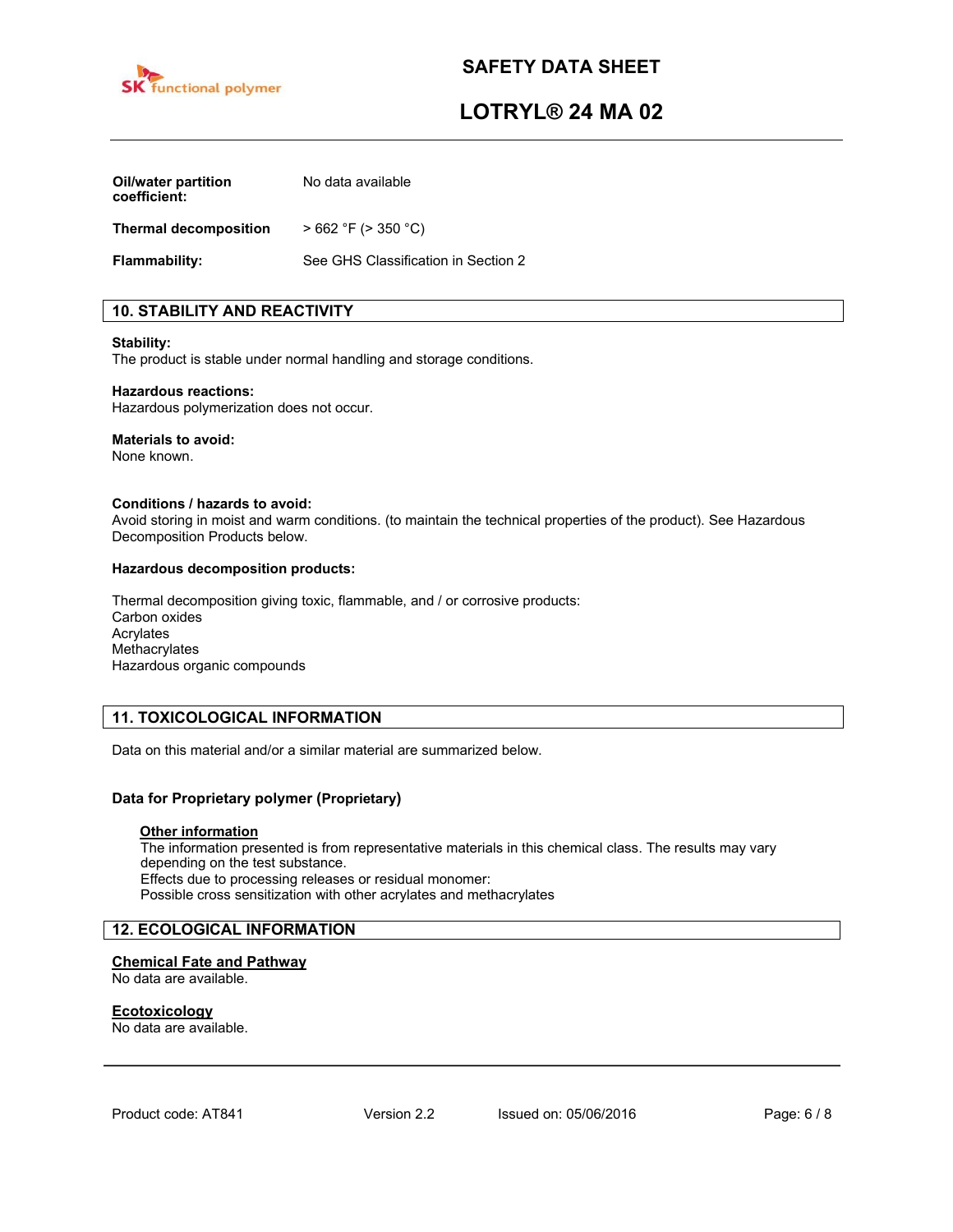

# **LOTRYL® 24 MA 02**

| <b>Oil/water partition</b><br>coefficient: | No data available                   |  |
|--------------------------------------------|-------------------------------------|--|
| <b>Thermal decomposition</b>               | $>662$ °F ( $>350$ °C)              |  |
| <b>Flammability:</b>                       | See GHS Classification in Section 2 |  |

# **10. STABILITY AND REACTIVITY**

#### **Stability:**

The product is stable under normal handling and storage conditions.

#### **Hazardous reactions:**

Hazardous polymerization does not occur.

#### **Materials to avoid:**

None known.

#### **Conditions / hazards to avoid:**

Avoid storing in moist and warm conditions. (to maintain the technical properties of the product). See Hazardous Decomposition Products below.

#### **Hazardous decomposition products:**

Thermal decomposition giving toxic, flammable, and / or corrosive products: Carbon oxides Acrylates Methacrylates Hazardous organic compounds

## **11. TOXICOLOGICAL INFORMATION**

Data on this material and/or a similar material are summarized below.

## **Data for Proprietary polymer (Proprietary)**

#### **Other information**

The information presented is from representative materials in this chemical class. The results may vary depending on the test substance. Effects due to processing releases or residual monomer: Possible cross sensitization with other acrylates and methacrylates

## **12. ECOLOGICAL INFORMATION**

## **Chemical Fate and Pathway**

No data are available.

#### **Ecotoxicology**

No data are available.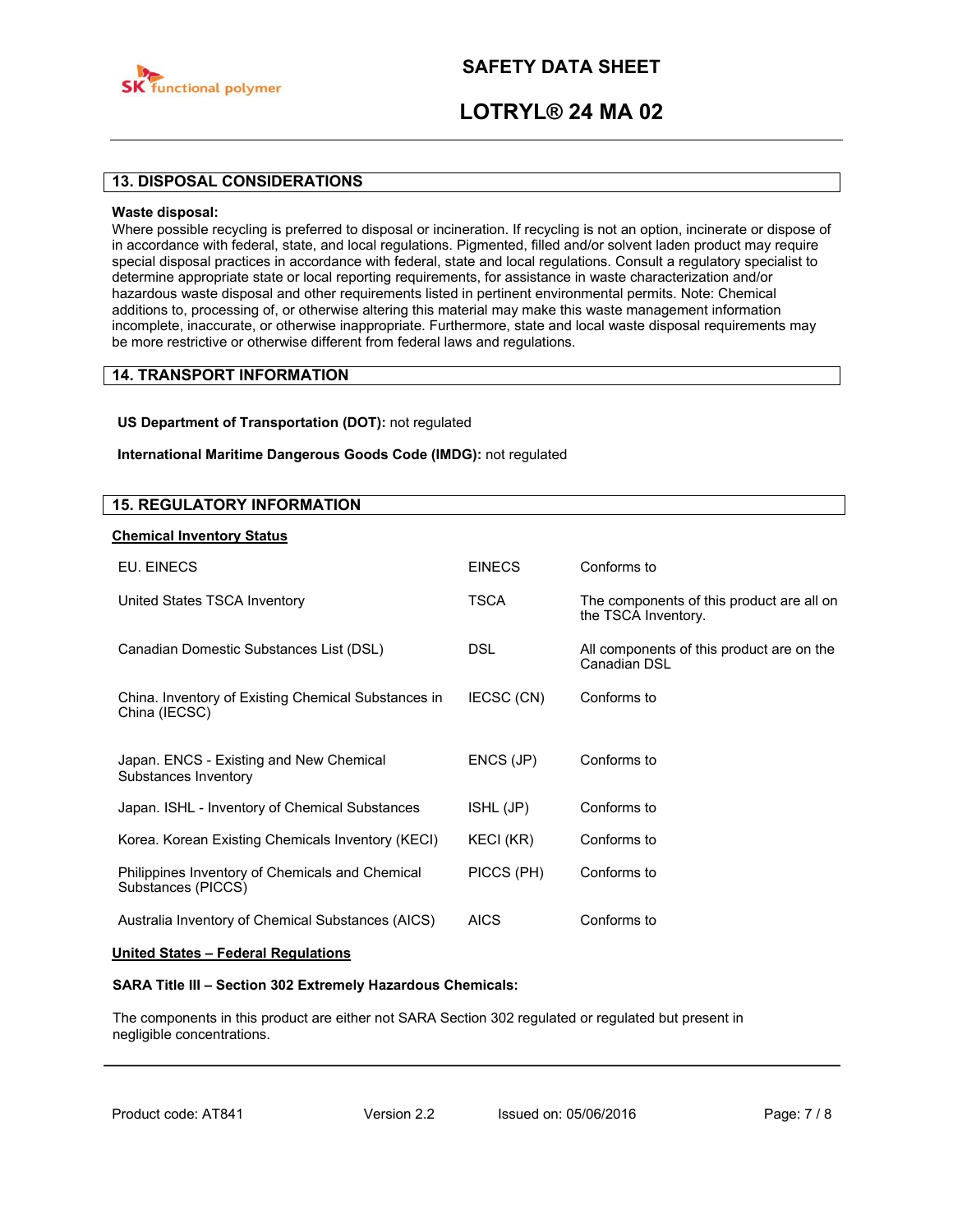

# **LOTRYL® 24 MA 02**

## **13. DISPOSAL CONSIDERATIONS**

#### **Waste disposal:**

Where possible recycling is preferred to disposal or incineration. If recycling is not an option, incinerate or dispose of in accordance with federal, state, and local regulations. Pigmented, filled and/or solvent laden product may require special disposal practices in accordance with federal, state and local regulations. Consult a regulatory specialist to determine appropriate state or local reporting requirements, for assistance in waste characterization and/or hazardous waste disposal and other requirements listed in pertinent environmental permits. Note: Chemical additions to, processing of, or otherwise altering this material may make this waste management information incomplete, inaccurate, or otherwise inappropriate. Furthermore, state and local waste disposal requirements may be more restrictive or otherwise different from federal laws and regulations.

# **14. TRANSPORT INFORMATION**

#### **US Department of Transportation (DOT):** not regulated

#### **International Maritime Dangerous Goods Code (IMDG):** not regulated

## **15. REGULATORY INFORMATION**

#### **Chemical Inventory Status**

| <b>FINFCS</b> | Conforms to                                                      |
|---------------|------------------------------------------------------------------|
| TSCA          | The components of this product are all on<br>the TSCA Inventory. |
| <b>DSL</b>    | All components of this product are on the<br>Canadian DSL        |
| IECSC (CN)    | Conforms to                                                      |
| ENCS (JP)     | Conforms to                                                      |
| ISHL (JP)     | Conforms to                                                      |
| KECI (KR)     | Conforms to                                                      |
| PICCS (PH)    | Conforms to                                                      |
| <b>AICS</b>   | Conforms to                                                      |
|               |                                                                  |

#### **United States – Federal Regulations**

#### **SARA Title III – Section 302 Extremely Hazardous Chemicals:**

The components in this product are either not SARA Section 302 regulated or regulated but present in negligible concentrations.